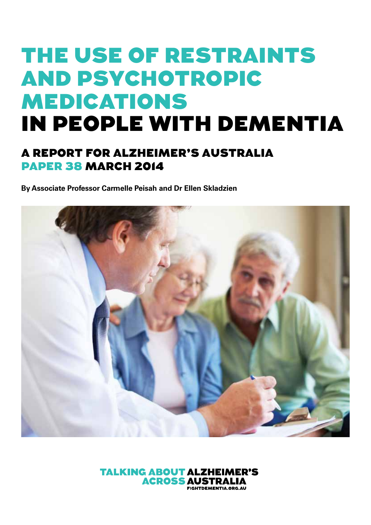# THE USE OF RESTRAINTS AND PSYCHOTROPIC MEDICATIONS IN PEOPLE WITH DEMENTIA

### A REPORT FOR ALZHEIMER'S AUSTRALIA PAPER 38 March 2014

**By Associate Professor Carmelle Peisah and Dr Ellen Skladzien**



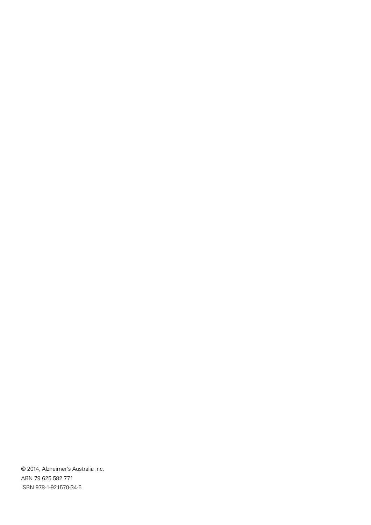© 2014, Alzheimer's Australia Inc. ABN 79 625 582 771 ISBN 978-1-921570-34-6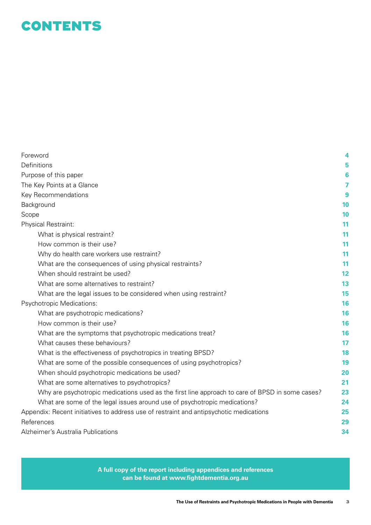### **CONTENTS**

| Foreword                                                                                        | 4  |
|-------------------------------------------------------------------------------------------------|----|
| Definitions                                                                                     | 5  |
| Purpose of this paper                                                                           | 6  |
| The Key Points at a Glance                                                                      | 7  |
| Key Recommendations                                                                             | 9  |
| Background                                                                                      | 10 |
| Scope                                                                                           | 10 |
| Physical Restraint:                                                                             | 11 |
| What is physical restraint?                                                                     | 11 |
| How common is their use?                                                                        | 11 |
| Why do health care workers use restraint?                                                       | 11 |
| What are the consequences of using physical restraints?                                         | 11 |
| When should restraint be used?                                                                  | 12 |
| What are some alternatives to restraint?                                                        | 13 |
| What are the legal issues to be considered when using restraint?                                | 15 |
| Psychotropic Medications:                                                                       | 16 |
| What are psychotropic medications?                                                              | 16 |
| How common is their use?                                                                        | 16 |
| What are the symptoms that psychotropic medications treat?                                      | 16 |
| What causes these behaviours?                                                                   | 17 |
| What is the effectiveness of psychotropics in treating BPSD?                                    | 18 |
| What are some of the possible consequences of using psychotropics?                              | 19 |
| When should psychotropic medications be used?                                                   | 20 |
| What are some alternatives to psychotropics?                                                    | 21 |
| Why are psychotropic medications used as the first line approach to care of BPSD in some cases? | 23 |
| What are some of the legal issues around use of psychotropic medications?                       | 24 |
| Appendix: Recent initiatives to address use of restraint and antipsychotic medications          | 25 |
| References                                                                                      | 29 |
| Alzheimer's Australia Publications                                                              | 34 |
|                                                                                                 |    |

**A full copy of the report including appendices and references can be found at www.fightdementia.org.au**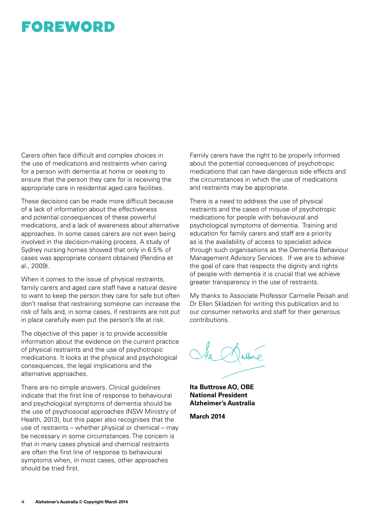### FOREWORD

Carers often face difficult and complex choices in the use of medications and restraints when caring for a person with dementia at home or seeking to ensure that the person they care for is receiving the appropriate care in residential aged care facilities.

These decisions can be made more difficult because of a lack of information about the effectiveness and potential consequences of these powerful medications, and a lack of awareness about alternative approaches. In some cases carers are not even being involved in the decision-making process. A study of Sydney nursing homes showed that only in 6.5% of cases was appropriate consent obtained (Rendina et al., 2009).

When it comes to the issue of physical restraints, family carers and aged care staff have a natural desire to want to keep the person they care for safe but often don't realise that restraining someone can increase the risk of falls and, in some cases, if restraints are not put in place carefully even put the person's life at risk.

The objective of this paper is to provide accessible information about the evidence on the current practice of physical restraints and the use of psychotropic medications. It looks at the physical and psychological consequences, the legal implications and the alternative approaches.

There are no simple answers. Clinical guidelines indicate that the first line of response to behavioural and psychological symptoms of dementia should be the use of psychosocial approaches (NSW Ministry of Health, 2013), but this paper also recognises that the use of restraints – whether physical or chemical – may be necessary in some circumstances. The concern is that in many cases physical and chemical restraints are often the first line of response to behavioural symptoms when, in most cases, other approaches should be tried first.

Family carers have the right to be properly informed about the potential consequences of psychotropic medications that can have dangerous side effects and the circumstances in which the use of medications and restraints may be appropriate.

There is a need to address the use of physical restraints and the cases of misuse of psychotropic medications for people with behavioural and psychological symptoms of dementia. Training and education for family carers and staff are a priority as is the availability of access to specialist advice through such organisations as the Dementia Behaviour Management Advisory Services. If we are to achieve the goal of care that respects the dignity and rights of people with dementia it is crucial that we achieve greater transparency in the use of restraints.

My thanks to Associate Professor Carmelle Peisah and Dr Ellen Skladzien for writing this publication and to our consumer networks and staff for their generous contributions.

**Ita Buttrose AO, OBE National President Alzheimer's Australia**

**March 2014**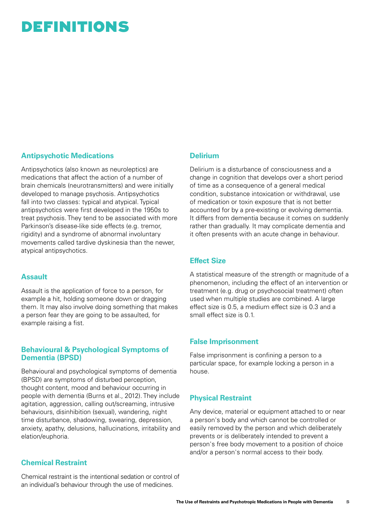### DEFINITIONS

#### **Antipsychotic Medications**

Antipsychotics (also known as neuroleptics) are medications that affect the action of a number of brain chemicals (neurotransmitters) and were initially developed to manage psychosis. Antipsychotics fall into two classes: typical and atypical. Typical antipsychotics were first developed in the 1950s to treat psychosis. They tend to be associated with more Parkinson's disease-like side effects (e.g. tremor, rigidity) and a syndrome of abnormal involuntary movements called tardive dyskinesia than the newer, atypical antipsychotics.

#### **Assault**

Assault is the application of force to a person, for example a hit, holding someone down or dragging them. It may also involve doing something that makes a person fear they are going to be assaulted, for example raising a fist.

#### **Behavioural & Psychological Symptoms of Dementia (BPSD)**

Behavioural and psychological symptoms of dementia (BPSD) are symptoms of disturbed perception, thought content, mood and behaviour occurring in people with dementia (Burns et al., 2012). They include agitation, aggression, calling out/screaming, intrusive behaviours, disinhibition (sexual), wandering, night time disturbance, shadowing, swearing, depression, anxiety, apathy, delusions, hallucinations, irritability and elation/euphoria.

#### **Chemical Restraint**

Chemical restraint is the intentional sedation or control of an individual's behaviour through the use of medicines.

#### **Delirium**

Delirium is a disturbance of consciousness and a change in cognition that develops over a short period of time as a consequence of a general medical condition, substance intoxication or withdrawal, use of medication or toxin exposure that is not better accounted for by a pre-existing or evolving dementia. It differs from dementia because it comes on suddenly rather than gradually. It may complicate dementia and it often presents with an acute change in behaviour.

#### **Effect Size**

A statistical measure of the strength or magnitude of a phenomenon, including the effect of an intervention or treatment (e.g. drug or psychosocial treatment) often used when multiple studies are combined. A large effect size is 0.5, a medium effect size is 0.3 and a small effect size is 0.1.

#### **False Imprisonment**

False imprisonment is confining a person to a particular space, for example locking a person in a house.

#### **Physical Restraint**

Any device, material or equipment attached to or near a person's body and which cannot be controlled or easily removed by the person and which deliberately prevents or is deliberately intended to prevent a person's free body movement to a position of choice and/or a person's normal access to their body.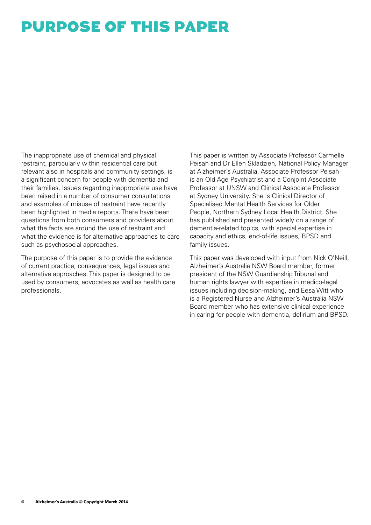### PURPOSE OF THIS PAPER

The inappropriate use of chemical and physical restraint, particularly within residential care but relevant also in hospitals and community settings, is a significant concern for people with dementia and their families. Issues regarding inappropriate use have been raised in a number of consumer consultations and examples of misuse of restraint have recently been highlighted in media reports. There have been questions from both consumers and providers about what the facts are around the use of restraint and what the evidence is for alternative approaches to care such as psychosocial approaches.

The purpose of this paper is to provide the evidence of current practice, consequences, legal issues and alternative approaches. This paper is designed to be used by consumers, advocates as well as health care professionals.

This paper is written by Associate Professor Carmelle Peisah and Dr Ellen Skladzien, National Policy Manager at Alzheimer's Australia. Associate Professor Peisah is an Old Age Psychiatrist and a Conjoint Associate Professor at UNSW and Clinical Associate Professor at Sydney University. She is Clinical Director of Specialised Mental Health Services for Older People, Northern Sydney Local Health District. She has published and presented widely on a range of dementia-related topics, with special expertise in capacity and ethics, end-of-life issues, BPSD and family issues.

This paper was developed with input from Nick O'Neill, Alzheimer's Australia NSW Board member, former president of the NSW Guardianship Tribunal and human rights lawyer with expertise in medico-legal issues including decision-making, and Eesa Witt who is a Registered Nurse and Alzheimer's Australia NSW Board member who has extensive clinical experience in caring for people with dementia, delirium and BPSD.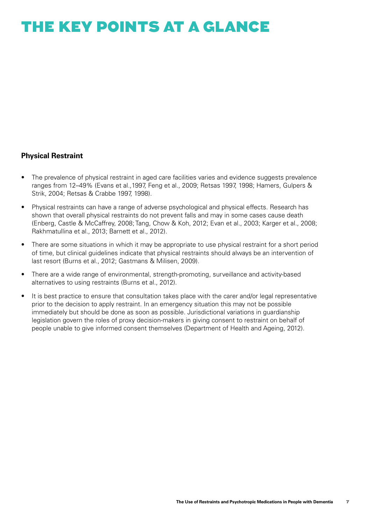### THE KEY POINTS AT A GLANCE

#### **Physical Restraint**

- The prevalence of physical restraint in aged care facilities varies and evidence suggests prevalence ranges from 12–49% (Evans et al.,1997, Feng et al., 2009; Retsas 1997, 1998; Hamers, Gulpers & Strik, 2004; Retsas & Crabbe 1997, 1998).
- Physical restraints can have a range of adverse psychological and physical effects. Research has shown that overall physical restraints do not prevent falls and may in some cases cause death (Enberg, Castle & McCaffrey, 2008; Tang, Chow & Koh, 2012; Evan et al., 2003; Karger et al., 2008; Rakhmatullina et al., 2013; Barnett et al., 2012).
- There are some situations in which it may be appropriate to use physical restraint for a short period of time, but clinical guidelines indicate that physical restraints should always be an intervention of last resort (Burns et al., 2012; Gastmans & Milisen, 2009).
- There are a wide range of environmental, strength-promoting, surveillance and activity-based alternatives to using restraints (Burns et al., 2012).
- It is best practice to ensure that consultation takes place with the carer and/or legal representative prior to the decision to apply restraint. In an emergency situation this may not be possible immediately but should be done as soon as possible. Jurisdictional variations in guardianship legislation govern the roles of proxy decision-makers in giving consent to restraint on behalf of people unable to give informed consent themselves (Department of Health and Ageing, 2012).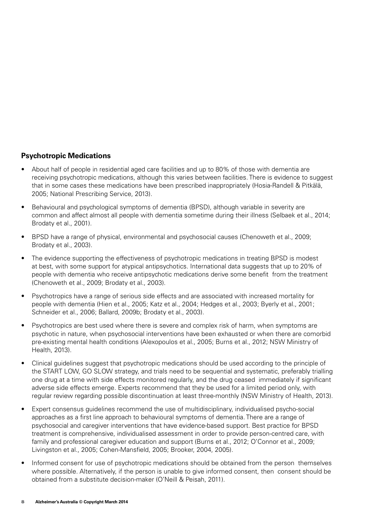#### **Psychotropic Medications**

- About half of people in residential aged care facilities and up to 80% of those with dementia are receiving psychotropic medications, although this varies between facilities. There is evidence to suggest that in some cases these medications have been prescribed inappropriately (Hosia-Randell & Pitkälä, 2005; National Prescribing Service, 2013).
- Behavioural and psychological symptoms of dementia (BPSD), although variable in severity are common and affect almost all people with dementia sometime during their illness (Selbaek et al., 2014; Brodaty et al., 2001).
- BPSD have a range of physical, environmental and psychosocial causes (Chenoweth et al., 2009; Brodaty et al., 2003).
- The evidence supporting the effectiveness of psychotropic medications in treating BPSD is modest at best, with some support for atypical antipsychotics. International data suggests that up to 20% of people with dementia who receive antipsychotic medications derive some benefit from the treatment (Chenoweth et al., 2009; Brodaty et al., 2003).
- Psychotropics have a range of serious side effects and are associated with increased mortality for people with dementia (Hien et al., 2005; Katz et al., 2004; Hedges et al., 2003; Byerly et al., 2001; Schneider et al., 2006; Ballard, 2009b; Brodaty et al., 2003).
- Psychotropics are best used where there is severe and complex risk of harm, when symptoms are psychotic in nature, when psychosocial interventions have been exhausted or when there are comorbid pre-existing mental health conditions (Alexopoulos et al., 2005; Burns et al., 2012; NSW Ministry of Health, 2013).
- Clinical guidelines suggest that psychotropic medications should be used according to the principle of the START LOW, GO SLOW strategy, and trials need to be sequential and systematic, preferably trialling one drug at a time with side effects monitored regularly, and the drug ceased immediately if significant adverse side effects emerge. Experts recommend that they be used for a limited period only, with regular review regarding possible discontinuation at least three-monthly (NSW Ministry of Health, 2013).
- Expert consensus guidelines recommend the use of multidisciplinary, individualised psycho-social approaches as a first line approach to behavioural symptoms of dementia. There are a range of psychosocial and caregiver interventions that have evidence-based support. Best practice for BPSD treatment is comprehensive, individualised assessment in order to provide person-centred care, with family and professional caregiver education and support (Burns et al., 2012; O'Connor et al., 2009; Livingston et al., 2005; Cohen-Mansfield, 2005; Brooker, 2004, 2005).
- Informed consent for use of psychotropic medications should be obtained from the person themselves where possible. Alternatively, if the person is unable to give informed consent, then consent should be obtained from a substitute decision-maker (O'Neill & Peisah, 2011).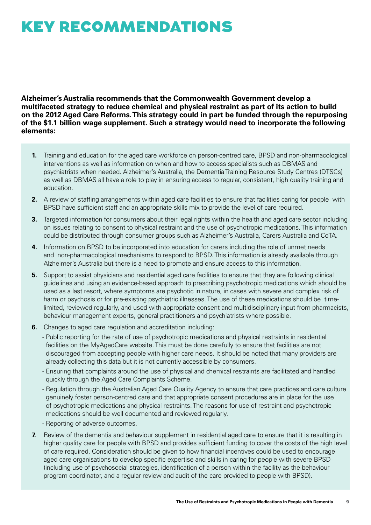## KEY RECOMMENDATIONS

**Alzheimer's Australia recommends that the Commonwealth Government develop a multifaceted strategy to reduce chemical and physical restraint as part of its action to build on the 2012 Aged Care Reforms. This strategy could in part be funded through the repurposing of the \$1.1 billion wage supplement. Such a strategy would need to incorporate the following elements:** 

- **1.** Training and education for the aged care workforce on person-centred care, BPSD and non-pharmacological interventions as well as information on when and how to access specialists such as DBMAS and psychiatrists when needed. Alzheimer's Australia, the Dementia Training Resource Study Centres (DTSCs) as well as DBMAS all have a role to play in ensuring access to regular, consistent, high quality training and education.
- **2.** A review of staffing arrangements within aged care facilities to ensure that facilities caring for people with BPSD have sufficient staff and an appropriate skills mix to provide the level of care required.
- **3.** Targeted information for consumers about their legal rights within the health and aged care sector including on issues relating to consent to physical restraint and the use of psychotropic medications. This information could be distributed through consumer groups such as Alzheimer's Australia, Carers Australia and CoTA.
- **4.** Information on BPSD to be incorporated into education for carers including the role of unmet needs and non-pharmacological mechanisms to respond to BPSD. This information is already available through Alzheimer's Australia but there is a need to promote and ensure access to this information.
- **5.** Support to assist physicians and residential aged care facilities to ensure that they are following clinical guidelines and using an evidence-based approach to prescribing psychotropic medications which should be used as a last resort, where symptoms are psychotic in nature, in cases with severe and complex risk of harm or psychosis or for pre-existing psychiatric illnesses. The use of these medications should be timelimited, reviewed regularly, and used with appropriate consent and multidisciplinary input from pharmacists, behaviour management experts, general practitioners and psychiatrists where possible.
- **6.** Changes to aged care regulation and accreditation including:
	- Public reporting for the rate of use of psychotropic medications and physical restraints in residential facilities on the MyAgedCare website. This must be done carefully to ensure that facilities are not discouraged from accepting people with higher care needs. It should be noted that many providers are already collecting this data but it is not currently accessible by consumers.
	- Ensuring that complaints around the use of physical and chemical restraints are facilitated and handled quickly through the Aged Care Complaints Scheme.
	- Regulation through the Australian Aged Care Quality Agency to ensure that care practices and care culture genuinely foster person-centred care and that appropriate consent procedures are in place for the use of psychotropic medications and physical restraints. The reasons for use of restraint and psychotropic medications should be well documented and reviewed regularly.
	- Reporting of adverse outcomes.
- **7.** Review of the dementia and behaviour supplement in residential aged care to ensure that it is resulting in higher quality care for people with BPSD and provides sufficient funding to cover the costs of the high level of care required. Consideration should be given to how financial incentives could be used to encourage aged care organisations to develop specific expertise and skills in caring for people with severe BPSD (including use of psychosocial strategies, identification of a person within the facility as the behaviour program coordinator, and a regular review and audit of the care provided to people with BPSD).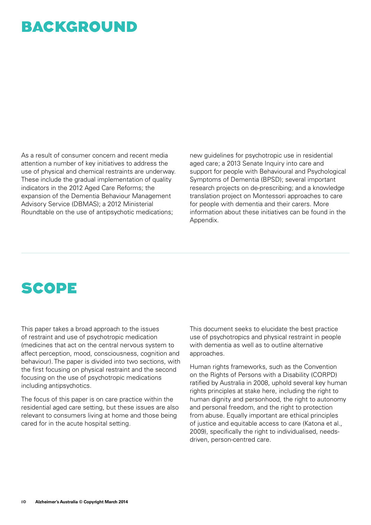### BACKGROUND

As a result of consumer concern and recent media attention a number of key initiatives to address the use of physical and chemical restraints are underway. These include the gradual implementation of quality indicators in the 2012 Aged Care Reforms; the expansion of the Dementia Behaviour Management Advisory Service (DBMAS); a 2012 Ministerial Roundtable on the use of antipsychotic medications;

new guidelines for psychotropic use in residential aged care; a 2013 Senate Inquiry into care and support for people with Behavioural and Psychological Symptoms of Dementia (BPSD); several important research projects on de-prescribing; and a knowledge translation project on Montessori approaches to care for people with dementia and their carers. More information about these initiatives can be found in the Appendix.

### SCOPE

This paper takes a broad approach to the issues of restraint and use of psychotropic medication (medicines that act on the central nervous system to affect perception, mood, consciousness, cognition and behaviour). The paper is divided into two sections, with the first focusing on physical restraint and the second focusing on the use of psychotropic medications including antipsychotics.

The focus of this paper is on care practice within the residential aged care setting, but these issues are also relevant to consumers living at home and those being cared for in the acute hospital setting.

This document seeks to elucidate the best practice use of psychotropics and physical restraint in people with dementia as well as to outline alternative approaches.

Human rights frameworks, such as the Convention on the Rights of Persons with a Disability (CORPD) ratified by Australia in 2008, uphold several key human rights principles at stake here, including the right to human dignity and personhood, the right to autonomy and personal freedom, and the right to protection from abuse. Equally important are ethical principles of justice and equitable access to care (Katona et al., 2009), specifically the right to individualised, needsdriven, person-centred care.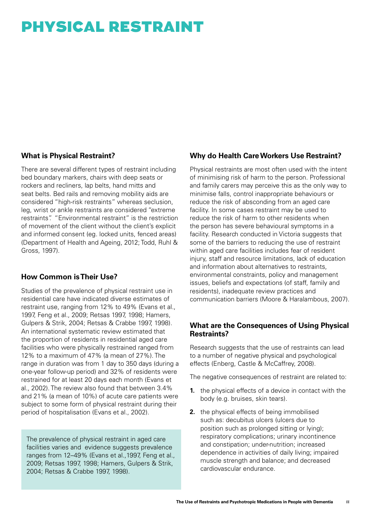# PHYSICAL RESTRAINT

#### **What is Physical Restraint?**

There are several different types of restraint including bed boundary markers, chairs with deep seats or rockers and recliners, lap belts, hand mitts and seat belts. Bed rails and removing mobility aids are considered "high-risk restraints" whereas seclusion, leg, wrist or ankle restraints are considered "extreme restraints". "Environmental restraint" is the restriction of movement of the client without the client's explicit and informed consent (eg. locked units, fenced areas) (Department of Health and Ageing, 2012; Todd, Ruhl & Gross, 1997).

#### **How Common is Their Use?**

Studies of the prevalence of physical restraint use in residential care have indicated diverse estimates of restraint use, ranging from 12% to 49% (Evans et al., 1997, Feng et al., 2009; Retsas 1997, 1998; Hamers, Gulpers & Strik, 2004; Retsas & Crabbe 1997, 1998). An international systematic review estimated that the proportion of residents in residential aged care facilities who were physically restrained ranged from 12% to a maximum of 47% (a mean of 27%). The range in duration was from 1 day to 350 days (during a one-year follow-up period) and 32% of residents were restrained for at least 20 days each month (Evans et al., 2002). The review also found that between 3.4% and 21% (a mean of 10%) of acute care patients were subject to some form of physical restraint during their period of hospitalisation (Evans et al., 2002).

The prevalence of physical restraint in aged care facilities varies and evidence suggests prevalence ranges from 12–49% (Evans et al.,1997, Feng et al., 2009; Retsas 1997, 1998; Hamers, Gulpers & Strik, 2004; Retsas & Crabbe 1997, 1998).

#### **Why do Health Care Workers Use Restraint?**

Physical restraints are most often used with the intent of minimising risk of harm to the person. Professional and family carers may perceive this as the only way to minimise falls, control inappropriate behaviours or reduce the risk of absconding from an aged care facility. In some cases restraint may be used to reduce the risk of harm to other residents when the person has severe behavioural symptoms in a facility. Research conducted in Victoria suggests that some of the barriers to reducing the use of restraint within aged care facilities includes fear of resident injury, staff and resource limitations, lack of education and information about alternatives to restraints, environmental constraints, policy and management issues, beliefs and expectations (of staff, family and residents), inadequate review practices and communication barriers (Moore & Haralambous, 2007).

#### **What are the Consequences of Using Physical Restraints?**

Research suggests that the use of restraints can lead to a number of negative physical and psychological effects (Enberg, Castle & McCaffrey, 2008).

The negative consequences of restraint are related to:

- **1.** the physical effects of a device in contact with the body (e.g. bruises, skin tears).
- **2.** the physical effects of being immobilised such as: decubitus ulcers (ulcers due to position such as prolonged sitting or lying); respiratory complications; urinary incontinence and constipation; under-nutrition; increased dependence in activities of daily living; impaired muscle strength and balance; and decreased cardiovascular endurance.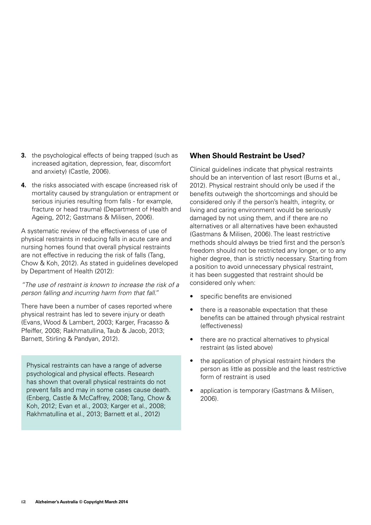- **3.** the psychological effects of being trapped (such as increased agitation, depression, fear, discomfort and anxiety) (Castle, 2006).
- **4.** the risks associated with escape (increased risk of mortality caused by strangulation or entrapment or serious injuries resulting from falls - for example, fracture or head trauma) (Department of Health and Ageing, 2012; Gastmans & Milisen, 2006).

A systematic review of the effectiveness of use of physical restraints in reducing falls in acute care and nursing homes found that overall physical restraints are not effective in reducing the risk of falls (Tang, Chow & Koh, 2012). As stated in guidelines developed by Department of Health (2012):

*"The use of restraint is known to increase the risk of a person falling and incurring harm from that fall."* 

There have been a number of cases reported where physical restraint has led to severe injury or death (Evans, Wood & Lambert, 2003; Karger, Fracasso & Pfeiffer, 2008; Rakhmatullina, Taub & Jacob, 2013; Barnett, Stirling & Pandyan, 2012).

Physical restraints can have a range of adverse psychological and physical effects. Research has shown that overall physical restraints do not prevent falls and may in some cases cause death. (Enberg, Castle & McCaffrey, 2008; Tang, Chow & Koh, 2012; Evan et al., 2003; Karger et al., 2008; Rakhmatullina et al., 2013; Barnett et al., 2012)

#### **When Should Restraint be Used?**

Clinical guidelines indicate that physical restraints should be an intervention of last resort (Burns et al., 2012). Physical restraint should only be used if the benefits outweigh the shortcomings and should be considered only if the person's health, integrity, or living and caring environment would be seriously damaged by not using them, and if there are no alternatives or all alternatives have been exhausted (Gastmans & Milisen, 2006). The least restrictive methods should always be tried first and the person's freedom should not be restricted any longer, or to any higher degree, than is strictly necessary. Starting from a position to avoid unnecessary physical restraint, it has been suggested that restraint should be considered only when:

- specific benefits are envisioned
- there is a reasonable expectation that these benefits can be attained through physical restraint (effectiveness)
- there are no practical alternatives to physical restraint (as listed above)
- the application of physical restraint hinders the person as little as possible and the least restrictive form of restraint is used
- application is temporary (Gastmans & Milisen, 2006).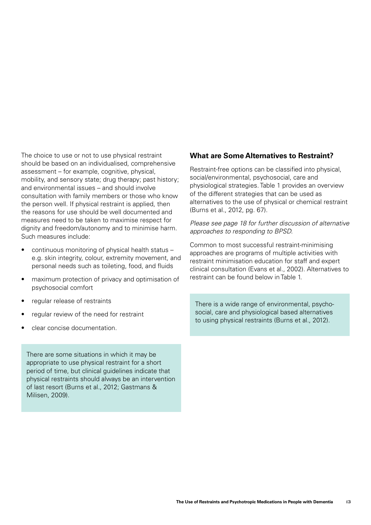The choice to use or not to use physical restraint should be based on an individualised, comprehensive assessment – for example, cognitive, physical, mobility, and sensory state; drug therapy; past history; and environmental issues – and should involve consultation with family members or those who know the person well. If physical restraint is applied, then the reasons for use should be well documented and measures need to be taken to maximise respect for dignity and freedom/autonomy and to minimise harm. Such measures include:

- continuous monitoring of physical health status e.g. skin integrity, colour, extremity movement, and personal needs such as toileting, food, and fluids
- maximum protection of privacy and optimisation of psychosocial comfort
- regular release of restraints
- regular review of the need for restraint
- clear concise documentation.

There are some situations in which it may be appropriate to use physical restraint for a short period of time, but clinical guidelines indicate that physical restraints should always be an intervention of last resort (Burns et al., 2012; Gastmans & Milisen, 2009).

#### **What are Some Alternatives to Restraint?**

Restraint-free options can be classified into physical, social/environmental, psychosocial, care and physiological strategies. Table 1 provides an overview of the different strategies that can be used as alternatives to the use of physical or chemical restraint (Burns et al., 2012, pg. 67).

*Please see page 18 for further discussion of alternative approaches to responding to BPSD.*

Common to most successful restraint-minimising approaches are programs of multiple activities with restraint minimisation education for staff and expert clinical consultation (Evans et al., 2002). Alternatives to restraint can be found below in Table 1.

There is a wide range of environmental, psychosocial, care and physiological based alternatives to using physical restraints (Burns et al., 2012).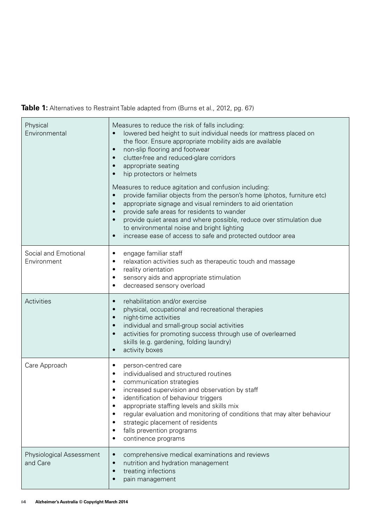**Table 1:** Alternatives to Restraint Table adapted from (Burns et al., 2012, pg. 67)

| Physical<br>Environmental                   | Measures to reduce the risk of falls including:<br>lowered bed height to suit individual needs (or mattress placed on<br>$\bullet$<br>the floor. Ensure appropriate mobility aids are available<br>non-slip flooring and footwear<br>$\bullet$<br>clutter-free and reduced-glare corridors<br>$\bullet$<br>appropriate seating<br>$\bullet$<br>hip protectors or helmets<br>$\bullet$<br>Measures to reduce agitation and confusion including:<br>provide familiar objects from the person's home (photos, furniture etc)<br>$\bullet$<br>appropriate signage and visual reminders to aid orientation<br>$\bullet$<br>provide safe areas for residents to wander<br>provide quiet areas and where possible, reduce over stimulation due<br>$\bullet$<br>to environmental noise and bright lighting<br>increase ease of access to safe and protected outdoor area<br>$\bullet$ |
|---------------------------------------------|-------------------------------------------------------------------------------------------------------------------------------------------------------------------------------------------------------------------------------------------------------------------------------------------------------------------------------------------------------------------------------------------------------------------------------------------------------------------------------------------------------------------------------------------------------------------------------------------------------------------------------------------------------------------------------------------------------------------------------------------------------------------------------------------------------------------------------------------------------------------------------|
| Social and Emotional<br>Environment         | engage familiar staff<br>٠<br>relaxation activities such as therapeutic touch and massage<br>$\bullet$<br>reality orientation<br>$\bullet$<br>sensory aids and appropriate stimulation<br>$\bullet$<br>decreased sensory overload<br>٠                                                                                                                                                                                                                                                                                                                                                                                                                                                                                                                                                                                                                                        |
| Activities                                  | rehabilitation and/or exercise<br>$\bullet$<br>physical, occupational and recreational therapies<br>$\bullet$<br>night-time activities<br>$\bullet$<br>individual and small-group social activities<br>$\bullet$<br>activities for promoting success through use of overlearned<br>$\bullet$<br>skills (e.g. gardening, folding laundry)<br>activity boxes<br>$\bullet$                                                                                                                                                                                                                                                                                                                                                                                                                                                                                                       |
| Care Approach                               | person-centred care<br>$\bullet$<br>individualised and structured routines<br>$\bullet$<br>communication strategies<br>$\bullet$<br>increased supervision and observation by staff<br>٠<br>identification of behaviour triggers<br>appropriate staffing levels and skills mix<br>٠<br>regular evaluation and monitoring of conditions that may alter behaviour<br>٠<br>strategic placement of residents<br>٠<br>falls prevention programs<br>$\bullet$<br>continence programs<br>٠                                                                                                                                                                                                                                                                                                                                                                                            |
| <b>Physiological Assessment</b><br>and Care | comprehensive medical examinations and reviews<br>$\bullet$<br>nutrition and hydration management<br>$\bullet$<br>treating infections<br>$\bullet$<br>pain management<br>$\bullet$                                                                                                                                                                                                                                                                                                                                                                                                                                                                                                                                                                                                                                                                                            |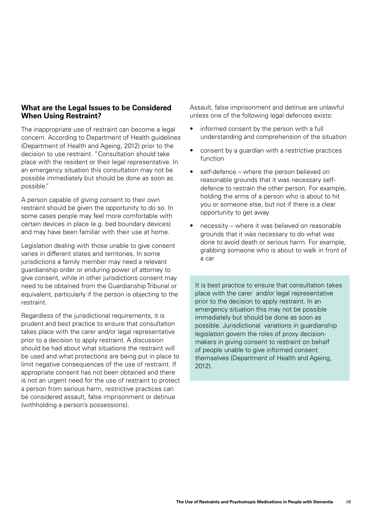#### **What are the Legal Issues to be Considered When Using Restraint?**

The inappropriate use of restraint can become a legal concern. According to Department of Health guidelines (Department of Health and Ageing, 2012) prior to the decision to use restraint. "Consultation should take place with the resident or their legal representative. In an emergency situation this consultation may not be possible immediately but should be done as soon as possible."

A person capable of giving consent to their own restraint should be given the opportunity to do so. In some cases people may feel more comfortable with certain devices in place (e.g. bed boundary devices) and may have been familiar with their use at home.

Legislation dealing with those unable to give consent varies in different states and territories. In some jurisdictions a family member may need a relevant guardianship order or enduring power of attorney to give consent, while in other jurisdictions consent may need to be obtained from the Guardianship Tribunal or equivalent, particularly if the person is objecting to the restraint.

Regardless of the jurisdictional requirements, it is prudent and best practice to ensure that consultation takes place with the carer and/or legal representative prior to a decision to apply restraint. A discussion should be had about what situations the restraint will be used and what protections are being put in place to limit negative consequences of the use of restraint. If appropriate consent has not been obtained and there is not an urgent need for the use of restraint to protect a person from serious harm, restrictive practices can be considered assault, false imprisonment or detinue (withholding a person's possessions).

Assault, false imprisonment and detinue are unlawful unless one of the following legal defences exists:

- informed consent by the person with a full understanding and comprehension of the situation
- consent by a guardian with a restrictive practices function
- self-defence where the person believed on reasonable grounds that it was necessary selfdefence to restrain the other person. For example, holding the arms of a person who is about to hit you or someone else, but not if there is a clear opportunity to get away
- necessity where it was believed on reasonable grounds that it was necessary to do what was done to avoid death or serious harm. For example, grabbing someone who is about to walk in front of a car

It is best practice to ensure that consultation takes place with the carer and/or legal representative prior to the decision to apply restraint. In an emergency situation this may not be possible immediately but should be done as soon as possible. Jurisdictional variations in guardianship legislation govern the roles of proxy decisionmakers in giving consent to restraint on behalf of people unable to give informed consent themselves (Department of Health and Ageing, 2012).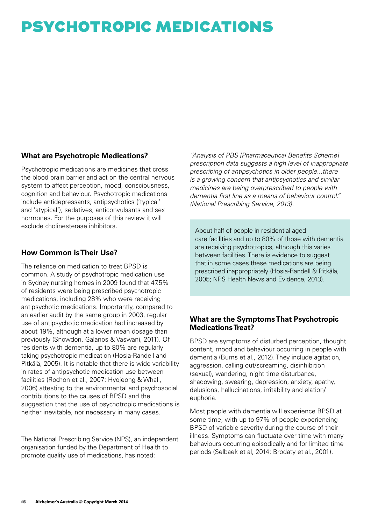# PSYCHOTROPIC MEDICATIONS

#### **What are Psychotropic Medications?**

Psychotropic medications are medicines that cross the blood brain barrier and act on the central nervous system to affect perception, mood, consciousness, cognition and behaviour. Psychotropic medications include antidepressants, antipsychotics ('typical' and 'atypical'), sedatives, anticonvulsants and sex hormones. For the purposes of this review it will exclude cholinesterase inhibitors.

#### **How Common is Their Use?**

The reliance on medication to treat BPSD is common. A study of psychotropic medication use in Sydney nursing homes in 2009 found that 47.5% of residents were being prescribed psychotropic medications, including 28% who were receiving antipsychotic medications. Importantly, compared to an earlier audit by the same group in 2003, regular use of antipsychotic medication had increased by about 19%, although at a lower mean dosage than previously (Snowdon, Galanos & Vaswani, 2011). Of residents with dementia, up to 80% are regularly taking psychotropic medication (Hosia-Randell and Pitkälä, 2005). It is notable that there is wide variability in rates of antipsychotic medication use between facilities (Rochon et al., 2007; Hyojeong & Whall, 2006) attesting to the environmental and psychosocial contributions to the causes of BPSD and the suggestion that the use of psychotropic medications is neither inevitable, nor necessary in many cases.

The National Prescribing Service (NPS), an independent organisation funded by the Department of Health to promote quality use of medications, has noted:

*"Analysis of PBS [Pharmaceutical Benefits Scheme] prescription data suggests a high level of inappropriate prescribing of antipsychotics in older people...there is a growing concern that antipsychotics and similar medicines are being overprescribed to people with dementia first line as a means of behaviour control." (National Prescribing Service, 2013).*

About half of people in residential aged care facilities and up to 80% of those with dementia are receiving psychotropics, although this varies between facilities. There is evidence to suggest that in some cases these medications are being prescribed inappropriately (Hosia-Randell & Pitkälä, 2005; NPS Health News and Evidence, 2013).

#### **What are the Symptoms That Psychotropic Medications Treat?**

BPSD are symptoms of disturbed perception, thought content, mood and behaviour occurring in people with dementia (Burns et al., 2012). They include agitation, aggression, calling out/screaming, disinhibition (sexual), wandering, night time disturbance, shadowing, swearing, depression, anxiety, apathy, delusions, hallucinations, irritability and elation/ euphoria.

Most people with dementia will experience BPSD at some time, with up to 97% of people experiencing BPSD of variable severity during the course of their illness. Symptoms can fluctuate over time with many behaviours occurring episodically and for limited time periods (Selbaek et al, 2014; Brodaty et al., 2001).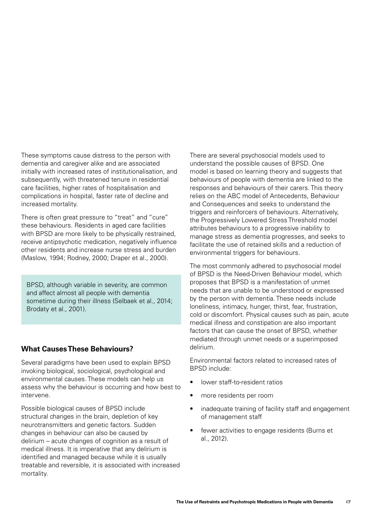These symptoms cause distress to the person with dementia and caregiver alike and are associated initially with increased rates of institutionalisation, and subsequently, with threatened tenure in residential care facilities, higher rates of hospitalisation and complications in hospital, faster rate of decline and increased mortality.

There is often great pressure to "treat" and "cure" these behaviours. Residents in aged care facilities with BPSD are more likely to be physically restrained, receive antipsychotic medication, negatively influence other residents and increase nurse stress and burden (Maslow, 1994; Rodney, 2000; Draper et al., 2000).

BPSD, although variable in severity, are common and affect almost all people with dementia sometime during their illness (Selbaek et al., 2014; Brodaty et al., 2001).

#### **What Causes These Behaviours?**

Several paradigms have been used to explain BPSD invoking biological, sociological, psychological and environmental causes. These models can help us assess why the behaviour is occurring and how best to intervene.

Possible biological causes of BPSD include structural changes in the brain, depletion of key neurotransmitters and genetic factors. Sudden changes in behaviour can also be caused by delirium – acute changes of cognition as a result of medical illness. It is imperative that any delirium is identified and managed because while it is usually treatable and reversible, it is associated with increased mortality.

There are several psychosocial models used to understand the possible causes of BPSD. One model is based on learning theory and suggests that behaviours of people with dementia are linked to the responses and behaviours of their carers. This theory relies on the ABC model of Antecedents, Behaviour and Consequences and seeks to understand the triggers and reinforcers of behaviours. Alternatively, the Progressively Lowered Stress Threshold model attributes behaviours to a progressive inability to manage stress as dementia progresses, and seeks to facilitate the use of retained skills and a reduction of environmental triggers for behaviours.

The most commonly adhered to psychosocial model of BPSD is the Need-Driven Behaviour model, which proposes that BPSD is a manifestation of unmet needs that are unable to be understood or expressed by the person with dementia. These needs include loneliness, intimacy, hunger, thirst, fear, frustration, cold or discomfort. Physical causes such as pain, acute medical illness and constipation are also important factors that can cause the onset of BPSD, whether mediated through unmet needs or a superimposed delirium.

Environmental factors related to increased rates of BPSD include:

- lower staff-to-resident ratios
- more residents per room
- inadequate training of facility staff and engagement of management staff
- fewer activities to engage residents (Burns et al., 2012).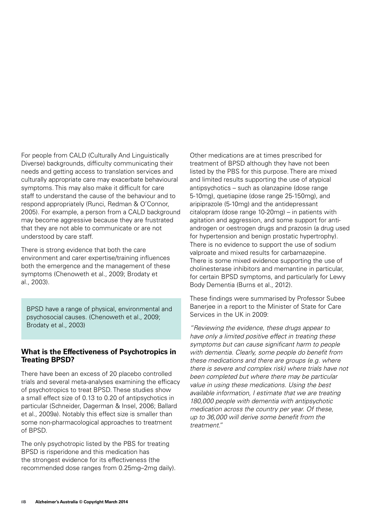For people from CALD (Culturally And Linguistically Diverse) backgrounds, difficulty communicating their needs and getting access to translation services and culturally appropriate care may exacerbate behavioural symptoms. This may also make it difficult for care staff to understand the cause of the behaviour and to respond appropriately (Runci, Redman & O'Connor, 2005). For example, a person from a CALD background may become aggressive because they are frustrated that they are not able to communicate or are not understood by care staff.

There is strong evidence that both the care environment and carer expertise/training influences both the emergence and the management of these symptoms (Chenoweth et al., 2009; Brodaty et al., 2003).

BPSD have a range of physical, environmental and psychosocial causes. (Chenoweth et al., 2009; Brodaty et al., 2003)

#### **What is the Effectiveness of Psychotropics in Treating BPSD?**

There have been an excess of 20 placebo controlled trials and several meta-analyses examining the efficacy of psychotropics to treat BPSD. These studies show a small effect size of 0.13 to 0.20 of antipsychotics in particular (Schneider, Dagerman & Insel, 2006; Ballard et al., 2009a). Notably this effect size is smaller than some non-pharmacological approaches to treatment of BPSD.

The only psychotropic listed by the PBS for treating BPSD is risperidone and this medication has the strongest evidence for its effectiveness (the recommended dose ranges from 0.25mg–2mg daily).

Other medications are at times prescribed for treatment of BPSD although they have not been listed by the PBS for this purpose. There are mixed and limited results supporting the use of atypical antipsychotics – such as olanzapine (dose range 5-10mg), quetiapine (dose range 25-150mg), and aripiprazole (5-10mg) and the antidepressant citalopram (dose range 10-20mg) – in patients with agitation and aggression, and some support for antiandrogen or oestrogen drugs and prazosin (a drug used for hypertension and benign prostatic hypertrophy). There is no evidence to support the use of sodium valproate and mixed results for carbamazepine. There is some mixed evidence supporting the use of cholinesterase inhibitors and memantine in particular, for certain BPSD symptoms, and particularly for Lewy Body Dementia (Burns et al., 2012).

These findings were summarised by Professor Subee Banerjee in a report to the Minister of State for Care Services in the UK in 2009:

*"Reviewing the evidence, these drugs appear to have only a limited positive effect in treating these symptoms but can cause significant harm to people with dementia. Clearly, some people do benefit from these medications and there are groups (e.g. where there is severe and complex risk) where trials have not been completed but where there may be particular value in using these medications. Using the best available information, I estimate that we are treating 180,000 people with dementia with antipsychotic medication across the country per year. Of these, up to 36,000 will derive some benefit from the treatment."*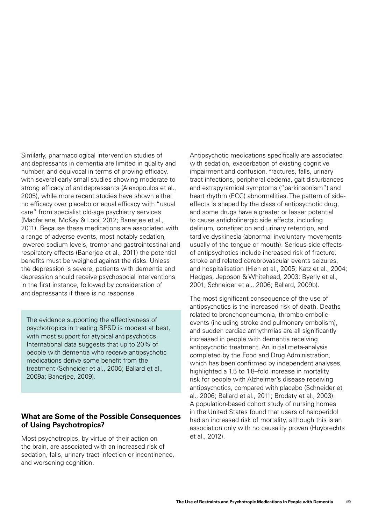Similarly, pharmacological intervention studies of antidepressants in dementia are limited in quality and number, and equivocal in terms of proving efficacy, with several early small studies showing moderate to strong efficacy of antidepressants (Alexopoulos et al., 2005), while more recent studies have shown either no efficacy over placebo or equal efficacy with "usual care" from specialist old-age psychiatry services (Macfarlane, McKay & Looi, 2012; Banerjee et al., 2011). Because these medications are associated with a range of adverse events, most notably sedation, lowered sodium levels, tremor and gastrointestinal and respiratory effects (Banerjee et al., 2011) the potential benefits must be weighed against the risks. Unless the depression is severe, patients with dementia and depression should receive psychosocial interventions in the first instance, followed by consideration of antidepressants if there is no response.

The evidence supporting the effectiveness of psychotropics in treating BPSD is modest at best, with most support for atypical antipsychotics. International data suggests that up to 20% of people with dementia who receive antipsychotic medications derive some benefit from the treatment (Schneider et al., 2006; Ballard et al., 2009a; Banerjee, 2009).

#### **What are Some of the Possible Consequences of Using Psychotropics?**

Most psychotropics, by virtue of their action on the brain, are associated with an increased risk of sedation, falls, urinary tract infection or incontinence, and worsening cognition.

Antipsychotic medications specifically are associated with sedation, exacerbation of existing cognitive impairment and confusion, fractures, falls, urinary tract infections, peripheral oedema, gait disturbances and extrapyramidal symptoms ("parkinsonism") and heart rhythm (ECG) abnormalities. The pattern of sideeffects is shaped by the class of antipsychotic drug, and some drugs have a greater or lesser potential to cause anticholinergic side effects, including delirium, constipation and urinary retention, and tardive dyskinesia (abnormal involuntary movements usually of the tongue or mouth). Serious side effects of antipsychotics include increased risk of fracture, stroke and related cerebrovascular events seizures, and hospitalisation (Hien et al., 2005; Katz et al., 2004; Hedges, Jeppson & Whitehead, 2003; Byerly et al., 2001; Schneider et al., 2006; Ballard, 2009b).

The most significant consequence of the use of antipsychotics is the increased risk of death. Deaths related to bronchopneumonia, thrombo-embolic events (including stroke and pulmonary embolism), and sudden cardiac arrhythmias are all significantly increased in people with dementia receiving antipsychotic treatment. An initial meta-analysis completed by the Food and Drug Administration, which has been confirmed by independent analyses, highlighted a 1.5 to 1.8–fold increase in mortality risk for people with Alzheimer's disease receiving antipsychotics, compared with placebo (Schneider et al., 2006; Ballard et al., 2011; Brodaty et al., 2003). A population-based cohort study of nursing homes in the United States found that users of haloperidol had an increased risk of mortality, although this is an association only with no causality proven (Huybrechts et al., 2012).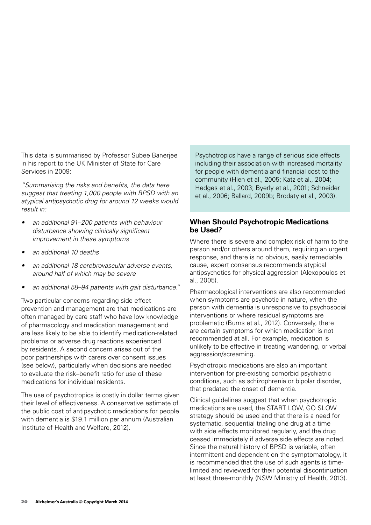This data is summarised by Professor Subee Banerjee in his report to the UK Minister of State for Care Services in 2009:

*"Summarising the risks and benefits, the data here suggest that treating 1,000 people with BPSD with an atypical antipsychotic drug for around 12 weeks would result in:* 

- an additional 91–200 patients with behaviour *disturbance showing clinically significant improvement in these symptoms*
- an additional 10 deaths
- an additional 18 cerebrovascular adverse events, *around half of which may be severe*
- an additional 58–94 patients with gait disturbance."

Two particular concerns regarding side effect prevention and management are that medications are often managed by care staff who have low knowledge of pharmacology and medication management and are less likely to be able to identify medication-related problems or adverse drug reactions experienced by residents. A second concern arises out of the poor partnerships with carers over consent issues (see below), particularly when decisions are needed to evaluate the risk–benefit ratio for use of these medications for individual residents.

The use of psychotropics is costly in dollar terms given their level of effectiveness. A conservative estimate of the public cost of antipsychotic medications for people with dementia is \$19.1 million per annum (Australian Institute of Health and Welfare, 2012).

Psychotropics have a range of serious side effects including their association with increased mortality for people with dementia and financial cost to the community (Hien et al., 2005; Katz et al., 2004; Hedges et al., 2003; Byerly et al., 2001; Schneider et al., 2006; Ballard, 2009b; Brodaty et al., 2003).

#### **When Should Psychotropic Medications be Used?**

Where there is severe and complex risk of harm to the person and/or others around them, requiring an urgent response, and there is no obvious, easily remediable cause, expert consensus recommends atypical antipsychotics for physical aggression (Alexopoulos et al., 2005).

Pharmacological interventions are also recommended when symptoms are psychotic in nature, when the person with dementia is unresponsive to psychosocial interventions or where residual symptoms are problematic (Burns et al., 2012). Conversely, there are certain symptoms for which medication is not recommended at all. For example, medication is unlikely to be effective in treating wandering, or verbal aggression/screaming.

Psychotropic medications are also an important intervention for pre-existing comorbid psychiatric conditions, such as schizophrenia or bipolar disorder, that predated the onset of dementia.

Clinical guidelines suggest that when psychotropic medications are used, the START LOW, GO SLOW strategy should be used and that there is a need for systematic, sequential trialing one drug at a time with side effects monitored regularly, and the drug ceased immediately if adverse side effects are noted. Since the natural history of BPSD is variable, often intermittent and dependent on the symptomatology, it is recommended that the use of such agents is timelimited and reviewed for their potential discontinuation at least three-monthly (NSW Ministry of Health, 2013).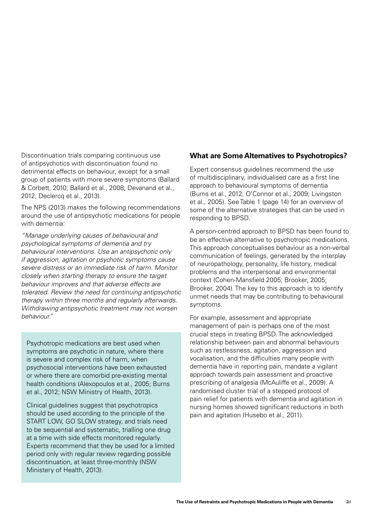Discontinuation trials comparing continuous use of antipsychotics with discontinuation found no detrimental effects on behaviour, except for a small group of patients with more severe symptoms (Ballard & Corbett, 2010; Ballard et al., 2008; Devanand et al., 2012; Declercq et al., 2013).

The NPS (2013) makes the following recommendations around the use of antipsychotic medications for people with dementia:

*"Manage underlying causes of behavioural and psychological symptoms of dementia and try behavioural interventions. Use an antipsychotic only if aggression, agitation or psychotic symptoms cause severe distress or an immediate risk of harm. Monitor closely when starting therapy to ensure the target behaviour improves and that adverse effects are tolerated. Review the need for continuing antipsychotic therapy within three months and regularly afterwards. Withdrawing antipsychotic treatment may not worsen behaviour."*

Psychotropic medications are best used when symptoms are psychotic in nature, where there is severe and complex risk of harm, when psychosocial interventions have been exhausted or where there are comorbid pre-existing mental health conditions (Alexopoulos et al., 2005; Burns et al., 2012; NSW Ministry of Health, 2013).

Clinical guidelines suggest that psychotropics should be used according to the principle of the START LOW, GO SLOW strategy, and trials need to be sequential and systematic, trialling one drug at a time with side effects monitored regularly. Experts recommend that they be used for a limited period only with regular review regarding possible discontinuation, at least three-monthly (NSW Ministery of Health, 2013).

#### **What are Some Alternatives to Psychotropics?**

Expert consensus guidelines recommend the use of multidisciplinary, individualised care as a first line approach to behavioural symptoms of dementia (Burns et al., 2012; O'Connor et al., 2009; Livingston et al., 2005). See Table 1 (page 14) for an overview of some of the alternative strategies that can be used in responding to BPSD.

A person-centred approach to BPSD has been found to be an effective alternative to psychotropic medications. This approach conceptualises behaviour as a non-verbal communication of feelings, generated by the interplay of neuropathology, personality, life history, medical problems and the interpersonal and environmental context (Cohen-Mansfield 2005; Brooker, 2005; Brooker, 2004). The key to this approach is to identify unmet needs that may be contributing to behavioural symptoms.

For example, assessment and appropriate management of pain is perhaps one of the most crucial steps in treating BPSD. The acknowledged relationship between pain and abnormal behaviours such as restlessness, agitation, aggression and vocalisation, and the difficulties many people with dementia have in reporting pain, mandate a vigilant approach towards pain assessment and proactive prescribing of analgesia (McAuliffe et al., 2009). A randomised cluster trial of a stepped protocol of pain relief for patients with dementia and agitation in nursing homes showed significant reductions in both pain and agitation (Husebo et al., 2011).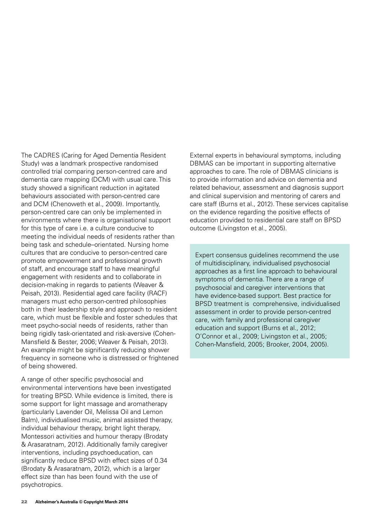The CADRES (Caring for Aged Dementia Resident Study) was a landmark prospective randomised controlled trial comparing person-centred care and dementia care mapping (DCM) with usual care. This study showed a significant reduction in agitated behaviours associated with person-centred care and DCM (Chenoweth et al., 2009). Importantly, person-centred care can only be implemented in environments where there is organisational support for this type of care i.e. a culture conducive to meeting the individual needs of residents rather than being task and schedule–orientated. Nursing home cultures that are conducive to person-centred care promote empowerment and professional growth of staff, and encourage staff to have meaningful engagement with residents and to collaborate in decision-making in regards to patients (Weaver & Peisah, 2013). Residential aged care facility (RACF) managers must echo person-centred philosophies both in their leadership style and approach to resident care, which must be flexible and foster schedules that meet psycho-social needs of residents, rather than being rigidly task-orientated and risk-aversive (Cohen-Mansfield & Bester, 2006; Weaver & Peisah, 2013). An example might be significantly reducing shower frequency in someone who is distressed or frightened of being showered.

A range of other specific psychosocial and environmental interventions have been investigated for treating BPSD. While evidence is limited, there is some support for light massage and aromatherapy (particularly Lavender Oil, Melissa Oil and Lemon Balm), individualised music, animal assisted therapy, individual behaviour therapy, bright light therapy, Montessori activities and humour therapy (Brodaty & Arasaratnam, 2012). Additionally family caregiver interventions, including psychoeducation, can significantly reduce BPSD with effect sizes of 0.34 (Brodaty & Arasaratnam, 2012), which is a larger effect size than has been found with the use of psychotropics.

External experts in behavioural symptoms, including DBMAS can be important in supporting alternative approaches to care. The role of DBMAS clinicians is to provide information and advice on dementia and related behaviour, assessment and diagnosis support and clinical supervision and mentoring of carers and care staff (Burns et al., 2012). These services capitalise on the evidence regarding the positive effects of education provided to residential care staff on BPSD outcome (Livingston et al., 2005).

Expert consensus guidelines recommend the use of multidisciplinary, individualised psychosocial approaches as a first line approach to behavioural symptoms of dementia. There are a range of psychosocial and caregiver interventions that have evidence-based support. Best practice for BPSD treatment is comprehensive, individualised assessment in order to provide person-centred care, with family and professional caregiver education and support (Burns et al., 2012; O'Connor et al., 2009; Livingston et al., 2005; Cohen-Mansfield, 2005; Brooker, 2004, 2005).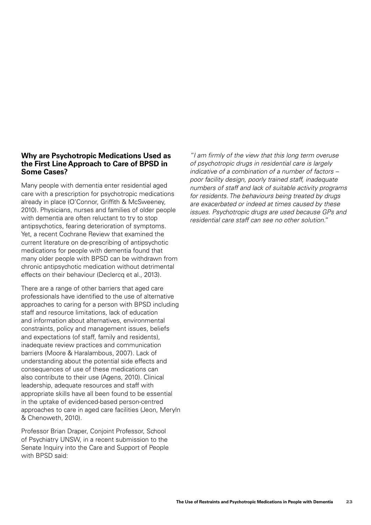#### **Why are Psychotropic Medications Used as the First Line Approach to Care of BPSD in Some Cases?**

Many people with dementia enter residential aged care with a prescription for psychotropic medications already in place (O'Connor, Griffith & McSweeney, 2010). Physicians, nurses and families of older people with dementia are often reluctant to try to stop antipsychotics, fearing deterioration of symptoms. Yet, a recent Cochrane Review that examined the current literature on de-prescribing of antipsychotic medications for people with dementia found that many older people with BPSD can be withdrawn from chronic antipsychotic medication without detrimental effects on their behaviour (Declercq et al., 2013).

There are a range of other barriers that aged care professionals have identified to the use of alternative approaches to caring for a person with BPSD including staff and resource limitations, lack of education and information about alternatives, environmental constraints, policy and management issues, beliefs and expectations (of staff, family and residents), inadequate review practices and communication barriers (Moore & Haralambous, 2007). Lack of understanding about the potential side effects and consequences of use of these medications can also contribute to their use (Agens, 2010). Clinical leadership, adequate resources and staff with appropriate skills have all been found to be essential in the uptake of evidenced-based person-centred approaches to care in aged care facilities (Jeon, Meryln & Chenoweth, 2010).

Professor Brian Draper, Conjoint Professor, School of Psychiatry UNSW, in a recent submission to the Senate Inquiry into the Care and Support of People with BPSD said:

*"I am firmly of the view that this long term overuse of psychotropic drugs in residential care is largely*  indicative of a combination of a number of factors – *poor facility design, poorly trained staff, inadequate numbers of staff and lack of suitable activity programs for residents. The behaviours being treated by drugs are exacerbated or indeed at times caused by these issues. Psychotropic drugs are used because GPs and residential care staff can see no other solution."*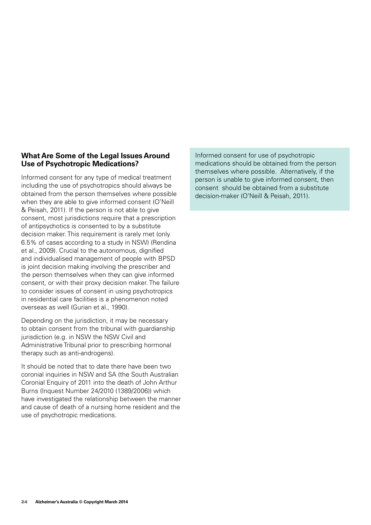#### **What Are Some of the Legal Issues Around Use of Psychotropic Medications?**

Informed consent for any type of medical treatment including the use of psychotropics should always be obtained from the person themselves where possible when they are able to give informed consent (O'Neill & Peisah, 2011). If the person is not able to give consent, most jurisdictions require that a prescription of antipsychotics is consented to by a substitute decision maker. This requirement is rarely met (only 6.5% of cases according to a study in NSW) (Rendina et al., 2009). Crucial to the autonomous, dignified and individualised management of people with BPSD is joint decision making involving the prescriber and the person themselves when they can give informed consent, or with their proxy decision maker. The failure to consider issues of consent in using psychotropics in residential care facilities is a phenomenon noted overseas as well (Gurian et al., 1990).

Depending on the jurisdiction, it may be necessary to obtain consent from the tribunal with guardianship jurisdiction (e.g. in NSW the NSW Civil and Administrative Tribunal prior to prescribing hormonal therapy such as anti-androgens).

It should be noted that to date there have been two coronial inquiries in NSW and SA (the South Australian Coronial Enquiry of 2011 into the death of John Arthur Burns (Inquest Number 24/2010 (1389/2006)) which have investigated the relationship between the manner and cause of death of a nursing home resident and the use of psychotropic medications.

Informed consent for use of psychotropic medications should be obtained from the person themselves where possible. Alternatively, if the person is unable to give informed consent, then consent should be obtained from a substitute decision-maker (O'Neill & Peisah, 2011).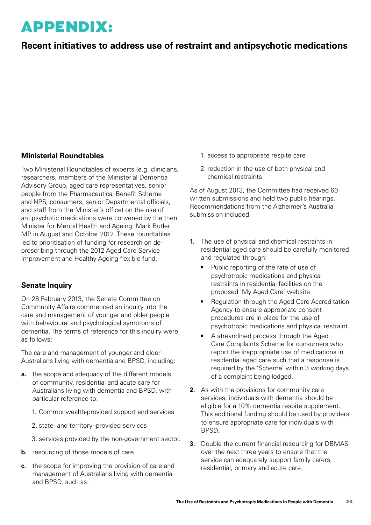### APPENDIX:

### **Recent initiatives to address use of restraint and antipsychotic medications**

#### **Ministerial Roundtables**

Two Ministerial Roundtables of experts (e.g. clinicians, researchers, members of the Ministerial Dementia Advisory Group, aged care representatives, senior people from the Pharmaceutical Benefit Scheme and NPS, consumers, senior Departmental officials, and staff from the Minister's office) on the use of antipsychotic medications were convened by the then Minister for Mental Health and Ageing, Mark Butler MP in August and October 2012. These roundtables led to prioritisation of funding for research on deprescribing through the 2012 Aged Care Service Improvement and Healthy Ageing flexible fund.

#### **Senate Inquiry**

On 28 February 2013, the Senate Committee on Community Affairs commenced an inquiry into the care and management of younger and older people with behavioural and psychological symptoms of dementia. The terms of reference for this inquiry were as follows:

The care and management of younger and older Australians living with dementia and BPSD, including:

- **a.** the scope and adequacy of the different models of community, residential and acute care for Australians living with dementia and BPSD, with particular reference to:
	- 1. Commonwealth-provided support and services
	- 2. state- and territory–provided services
	- 3. services provided by the non-government sector.
- **b.** resourcing of those models of care
- **c.** the scope for improving the provision of care and management of Australians living with dementia and BPSD, such as:
- 1. access to appropriate respite care
- 2. reduction in the use of both physical and chemical restraints.

As of August 2013, the Committee had received 60 written submissions and held two public hearings. Recommendations from the Alzheimer's Australia submission included:

- **1.** The use of physical and chemical restraints in residential aged care should be carefully monitored and regulated through:
	- Public reporting of the rate of use of psychotropic medications and physical restraints in residential facilities on the proposed 'My Aged Care' website.
	- Regulation through the Aged Care Accreditation Agency to ensure appropriate consent procedures are in place for the use of psychotropic medications and physical restraint.
	- A streamlined process through the Aged Care Complaints Scheme for consumers who report the inappropriate use of medications in residential aged care such that a response is required by the 'Scheme' within 3 working days of a complaint being lodged.
- **2.** As with the provisions for community care services, individuals with dementia should be eligible for a 10% dementia respite supplement. This additional funding should be used by providers to ensure appropriate care for individuals with BPSD.
- **3.** Double the current financial resourcing for DBMAS over the next three years to ensure that the service can adequately support family carers, residential, primary and acute care.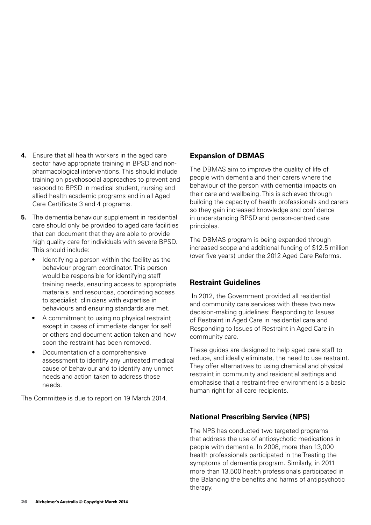- **4.** Ensure that all health workers in the aged care sector have appropriate training in BPSD and nonpharmacological interventions. This should include training on psychosocial approaches to prevent and respond to BPSD in medical student, nursing and allied health academic programs and in all Aged Care Certificate 3 and 4 programs.
- **5.** The dementia behaviour supplement in residential care should only be provided to aged care facilities that can document that they are able to provide high quality care for individuals with severe BPSD. This should include:
	- Identifying a person within the facility as the behaviour program coordinator. This person would be responsible for identifying staff training needs, ensuring access to appropriate materials and resources, coordinating access to specialist clinicians with expertise in behaviours and ensuring standards are met.
	- A commitment to using no physical restraint except in cases of immediate danger for self or others and document action taken and how soon the restraint has been removed.
	- Documentation of a comprehensive assessment to identify any untreated medical cause of behaviour and to identify any unmet needs and action taken to address those needs.

The Committee is due to report on 19 March 2014.

#### **Expansion of DBMAS**

The DBMAS aim to improve the quality of life of people with dementia and their carers where the behaviour of the person with dementia impacts on their care and wellbeing. This is achieved through building the capacity of health professionals and carers so they gain increased knowledge and confidence in understanding BPSD and person-centred care principles.

The DBMAS program is being expanded through increased scope and additional funding of \$12.5 million (over five years) under the 2012 Aged Care Reforms.

#### **Restraint Guidelines**

 In 2012, the Government provided all residential and community care services with these two new decision-making guidelines: Responding to Issues of Restraint in Aged Care in residential care and Responding to Issues of Restraint in Aged Care in community care.

These guides are designed to help aged care staff to reduce, and ideally eliminate, the need to use restraint. They offer alternatives to using chemical and physical restraint in community and residential settings and emphasise that a restraint-free environment is a basic human right for all care recipients.

#### **National Prescribing Service (NPS)**

The NPS has conducted two targeted programs that address the use of antipsychotic medications in people with dementia. In 2008, more than 13,000 health professionals participated in the Treating the symptoms of dementia program. Similarly, in 2011 more than 13,500 health professionals participated in the Balancing the benefits and harms of antipsychotic therapy.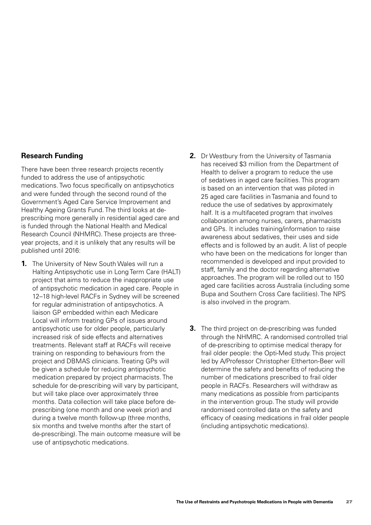#### **Research Funding**

There have been three research projects recently funded to address the use of antipsychotic medications. Two focus specifically on antipsychotics and were funded through the second round of the Government's Aged Care Service Improvement and Healthy Ageing Grants Fund. The third looks at deprescribing more generally in residential aged care and is funded through the National Health and Medical Research Council (NHMRC). These projects are threeyear projects, and it is unlikely that any results will be published until 2016:

- **1.** The University of New South Wales will run a Halting Antipsychotic use in Long Term Care (HALT) project that aims to reduce the inappropriate use of antipsychotic medication in aged care. People in 12–18 high-level RACFs in Sydney will be screened for regular administration of antipsychotics. A liaison GP embedded within each Medicare Local will inform treating GPs of issues around antipsychotic use for older people, particularly increased risk of side effects and alternatives treatments. Relevant staff at RACFs will receive training on responding to behaviours from the project and DBMAS clinicians. Treating GPs will be given a schedule for reducing antipsychotic medication prepared by project pharmacists. The schedule for de-prescribing will vary by participant, but will take place over approximately three months. Data collection will take place before deprescribing (one month and one week prior) and during a twelve month follow-up (three months, six months and twelve months after the start of de-prescribing). The main outcome measure will be use of antipsychotic medications.
- **2.** Dr Westbury from the University of Tasmania has received \$3 million from the Department of Health to deliver a program to reduce the use of sedatives in aged care facilities. This program is based on an intervention that was piloted in 25 aged care facilities in Tasmania and found to reduce the use of sedatives by approximately half. It is a multifaceted program that involves collaboration among nurses, carers, pharmacists and GPs. It includes training/information to raise awareness about sedatives, their uses and side effects and is followed by an audit. A list of people who have been on the medications for longer than recommended is developed and input provided to staff, family and the doctor regarding alternative approaches. The program will be rolled out to 150 aged care facilities across Australia (including some Bupa and Southern Cross Care facilities). The NPS is also involved in the program.
- **3.** The third project on de-prescribing was funded through the NHMRC. A randomised controlled trial of de-prescribing to optimise medical therapy for frail older people: the Opti-Med study. This project led by A/Professor Christopher Eltherton-Beer will determine the safety and benefits of reducing the number of medications prescribed to frail older people in RACFs. Researchers will withdraw as many medications as possible from participants in the intervention group. The study will provide randomised controlled data on the safety and efficacy of ceasing medications in frail older people (including antipsychotic medications).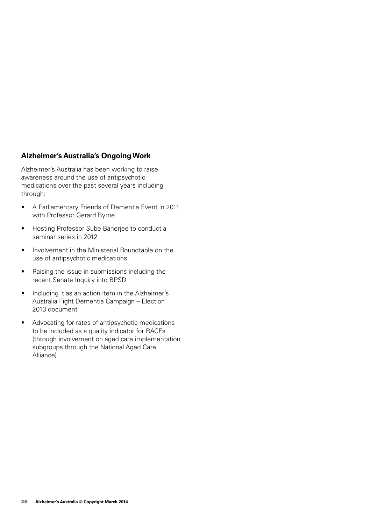#### **Alzheimer's Australia's Ongoing Work**

Alzheimer's Australia has been working to raise awareness around the use of antipsychotic medications over the past several years including through:

- • A Parliamentary Friends of Dementia Event in 2011 with Professor Gerard Byrne
- • Hosting Professor Sube Banerjee to conduct a seminar series in 2012
- Involvement in the Ministerial Roundtable on the use of antipsychotic medications
- Raising the issue in submissions including the recent Senate Inquiry into BPSD
- Including it as an action item in the Alzheimer's Australia Fight Dementia Campaign – Election 2013 document
- • Advocating for rates of antipsychotic medications to be included as a quality indicator for RACFs (through involvement on aged care implementation subgroups through the National Aged Care Alliance).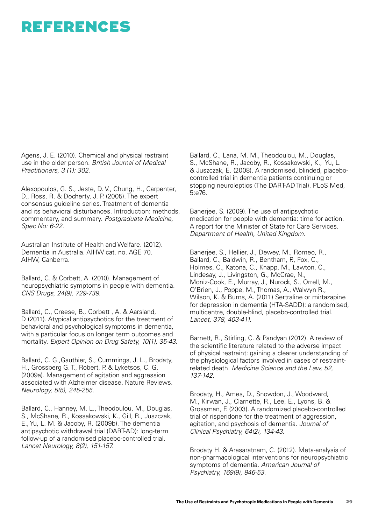### REFERENCES

Agens, J. E. (2010). Chemical and physical restraint use in the older person. *British Journal of Medical Practitioners, 3 (1): 302.*

Alexopoulos, G. S., Jeste, D. V., Chung, H., Carpenter, D., Ross, R. & Docherty, J. P. (2005). The expert consensus guideline series. Treatment of dementia and its behavioral disturbances. Introduction: methods, commentary, and summary. *Postgraduate Medicine, Spec No: 6-22.*

Australian Institute of Health and Welfare. (2012). Dementia in Australia. AIHW cat. no. AGE 70. AIHW, Canberra.

Ballard, C. & Corbett, A. (2010). Management of neuropsychiatric symptoms in people with dementia. CNS Drugs, 24(9), 729-739.

Ballard, C., Creese, B., Corbett , A. & Aarsland, D (2011). Atypical antipsychotics for the treatment of behavioral and psychological symptoms in dementia, with a particular focus on longer term outcomes and mortality. Expert Opinion on Drug Safety, 10(1), 35-43.

Ballard, C. G.,Gauthier, S., Cummings, J. L., Brodaty, H., Grossberg G. T., Robert, P. & Lyketsos, C. G. (2009a). Management of agitation and aggression associated with Alzheimer disease. Nature Reviews. Neurology, 5(5), 245-255.

Ballard, C., Hanney, M. L., Theodoulou, M., Douglas, S., McShane, R., Kossakowski, K., Gill, R., Juszczak, E., Yu, L. M. & Jacoby, R. (2009b). The dementia antipsychotic withdrawal trial (DART-AD): long-term follow-up of a randomised placebo-controlled trial. Lancet Neurology, 8(2), 151-157.

Ballard, C., Lana, M. M., Theodoulou, M., Douglas, S., McShane, R., Jacoby, R., Kossakowski, K., Yu, L. & Juszczak, E. (2008). A randomised, blinded, placebocontrolled trial in dementia patients continuing or stopping neuroleptics (The DART-AD Trial). PLoS Med. 5:e76.

Banerjee, S. (2009). The use of antipsychotic medication for people with dementia: time for action. A report for the Minister of State for Care Services. *Department of Health, United Kingdom.*

Banerjee, S., Hellier, J., Dewey, M., Romeo, R., Ballard, C., Baldwin, R., Bentham, P., Fox, C., Holmes, C., Katona, C., Knapp, M., Lawton, C., Lindesay, J., Livingston, G., McCrae, N., Moniz-Cook, E., Murray, J., Nurock, S., Orrell, M., O'Brien, J., Poppe, M., Thomas, A., Walwyn R., Wilson, K. & Burns, A. (2011) Sertraline or mirtazapine for depression in dementia (HTA-SADD): a randomised, multicentre, double-blind, placebo-controlled trial. Lancet, 378, 403-411.

Barnett, R., Stirling, C. & Pandyan (2012). A review of the scientific literature related to the adverse impact of physical restraint: gaining a clearer understanding of the physiological factors involved in cases of restraintrelated death. Medicine Science and the Law, 52, 137-142.

Brodaty, H., Ames, D., Snowdon, J., Woodward, M., Kirwan, J., Clarnette, R., Lee, E., Lyons, B. & Grossman, F. (2003). A randomized placebo-controlled trial of risperidone for the treatment of aggression, agitation, and psychosis of dementia. *Journal of*  Clinical Psychiatry, 64(2), 134-43.

Brodaty H. & Arasaratnam, C. (2012). Meta-analysis of non-pharmacological interventions for neuropsychiatric symptoms of dementia. *American Journal of*  Psychiatry, 169(9), 946-53.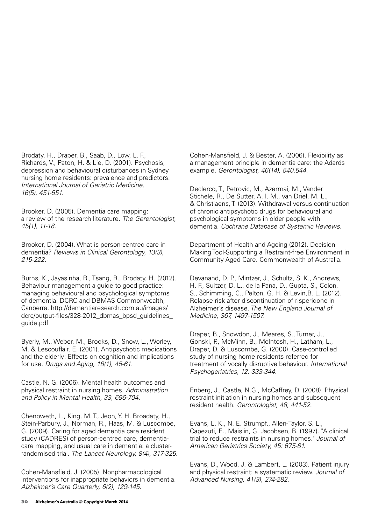Brodaty, H., Draper, B., Saab, D., Low, L. F., Richards, V., Paton, H. & Lie, D. (2001). Psychosis, depression and behavioural disturbances in Sydney nursing home residents: prevalence and predictors. *International Journal of Geriatric Medicine,*  16(5), 451-551.

Brooker, D. (2005). Dementia care mapping: a review of the research literature. *The Gerentologist,*  45(1), 11-18.

Brooker, D. (2004). What is person-centred care in dementia? *Reviews in Clinical Gerontology, 13(3),*  215-222.

Burns, K., Jayasinha, R., Tsang, R., Brodaty, H. (2012). Behaviour management a guide to good practice: managing behavioural and psychological symptoms of dementia. DCRC and DBMAS Commonwealth, Canberra. http://dementiaresearch.com.au/images/ dcrc/output-files/328-2012\_dbmas\_bpsd\_guidelines\_ guide.pdf

Byerly, M., Weber, M., Brooks, D., Snow, L., Worley, M. & Lescouflair, E. (2001). Antipsychotic medications and the elderly: Effects on cognition and implications for use. Drugs and Aging, 18(1), 45-61.

Castle, N. G. (2006). Mental health outcomes and physical restraint in nursing homes. *Administration*  and Policy in Mental Health, 33, 696-704.

Chenoweth, L., King, M. T., Jeon, Y. H. Broadaty, H., Stein-Parbury, J., Norman, R., Haas, M. & Luscombe, G. (2009). Caring for aged dementia care resident study (CADRES) of person-centred care, dementiacare mapping, and usual care in dementia: a clusterrandomised trial. The Lancet Neurology, 8(4), 317-325.

Cohen-Mansfield, J. (2005). Nonpharmacological interventions for inappropriate behaviors in dementia. Alzheimer's Care Quarterly, 6(2), 129-145.

Cohen-Mansfield, J. & Bester, A. (2006). Flexibility as a management principle in dementia care: the Adards example. Gerontologist, 46(14), 540.544.

Declercq, T., Petrovic, M., Azermai, M., Vander Stichele, R., De Sutter, A. I. M., van Driel, M. L., & Christiaens, T. (2013). Withdrawal versus continuation of chronic antipsychotic drugs for behavioural and psychological symptoms in older people with dementia. *Cochrane Database of Systemic Reviews.*

Department of Health and Ageing (2012). Decision Making Tool-Supporting a Restraint-free Environment in Community Aged Care. Commonwealth of Australia.

Devanand, D. P., Mintzer, J., Schultz, S. K., Andrews, H. F., Sultzer, D. L., de la Pana, D., Gupta, S., Colon, S., Schimming, C., Pelton, G. H. & Levin,B. L. (2012). Relapse risk after discontinuation of risperidone in Alzheimer's disease. *The New England Journal of*  Medicine, 367, 1497-1507.

Draper, B., Snowdon, J., Meares, S., Turner, J., Gonski, P., McMinn, B., McIntosh, H., Latham, L., Draper, D. & Luscombe, G. (2000). Case-controlled study of nursing home residents referred for treatment of vocally disruptive behaviour. *International*  Psychogeriatrics, 12, 333-344.

Enberg, J., Castle, N.G., McCaffrey, D. (2008). Physical restraint initiation in nursing homes and subsequent resident health. Gerontologist, 48, 441-52.

Evans, L. K., N. E. Strumpf., Allen-Taylor, S. L., Capezuti, E., Maislin, G. Jacobsen, B. (1997). "A clinical trial to reduce restraints in nursing homes." *Journal of*  American Geriatrics Society, 45: 675-81.

Evans, D., Wood, J. & Lambert, L. (2003). Patient injury and physical restraint: a systematic review. *Journal of*  Advanced Nursing, 41(3), 274-282.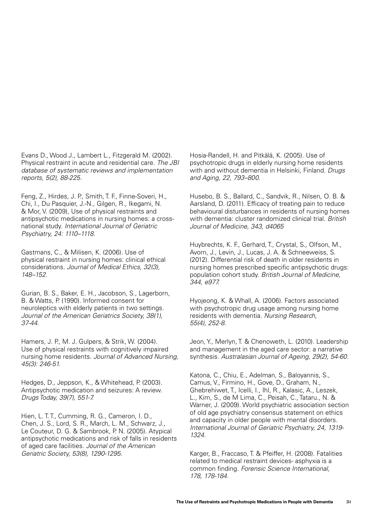Evans D., Wood J., Lambert L., Fitzgerald M. (2002). Physical restraint in acute and residential care. *The JBI database of systematic reviews and implementation*  reports, 5(2), 88-225.

Feng, Z., Hirdes, J. P., Smith, T. F., Finne-Soveri, H., Chi, I., Du Pasquier, J.-N., Gilgen, R., Ikegami, N. & Mor, V. (2009), Use of physical restraints and antipsychotic medications in nursing homes: a crossnational study. *International Journal of Geriatric*  Psychiatry, 24: 1110–1118.

Gastmans, C., & Milisen, K. (2006). Use of physical restraint in nursing homes: clinical ethical considerations. *Journal of Medical Ethics, 32(3),*  148–152.

Gurian, B. S., Baker, E. H., Jacobson, S., Lagerborn, B. & Watts, P. (1990). Informed consent for neuroleptics with elderly patients in two settings. *Journal of the American Geriatrics Society, 38(1),*  37-44.

Hamers, J. P., M. J. Gulpers, & Strik, W. (2004). Use of physical restraints with cognitively impaired nursing home residents. *Journal of Advanced Nursing,*  45(3): 246-51.

Hedges, D., Jeppson, K., & Whitehead, P. (2003). Antipsychotic medication and seizures: A review. Drugs Today, 39(7), 551-7.

Hien, L. T. T., Cumming, R. G., Cameron, I. D., Chen, J. S., Lord, S. R., March, L. M., Schwarz, J., Le Couteur, D. G. & Sambrook, P. N. (2005). Atypical antipsychotic medications and risk of falls in residents of aged care facilities. *Journal of the American*  Geriatric Society, 53(8), 1290-1295.

Hosia-Randell, H. and Pitkälä, K. (2005). Use of psychotropic drugs in elderly nursing home residents with and without dementia in Helsinki, Finland. *Drugs*  and Aging, 22, 793–800.

Husebo, B. S., Ballard, C., Sandvik, R., Nilsen, O. B. & Aarsland, D. (2011). Efficacy of treating pain to reduce behavioural disturbances in residents of nursing homes with dementia: cluster randomized clinical trial. *British*  Journal of Medicine, 343, d4065

Huybrechts, K. F., Gerhard, T., Crystal, S., Olfson, M., Avorn, J., Levin, J., Lucas, J. A. & Schneeweiss, S. (2012). Differential risk of death in older residents in nursing homes prescribed specific antipsychotic drugs: population cohort study. *British Journal of Medicine,*  344, e977.

Hyojeong, K. & Whall, A. (2006). Factors associated with psychotropic drug usage among nursing home residents with dementia. *Nursing Research,*  55(4), 252-8.

Jeon, Y., Merlyn, T. & Chenoweth, L. (2010). Leadership and management in the aged care sector: a narrative synthesis. Australasian Journal of Ageing, 29(2), 54-60.

Katona, C., Chiu, E., Adelman, S., Baloyannis, S., Camus, V., Firmino, H., Gove, D., Graham, N., Ghebrehiwet, T., Icelli, I., Ihl, R., Kalasic, A., Leszek, L., Kim, S., de M Lima, C., Peisah, C., Tataru., N. & Warner, J. (2009). World psychiatric association section of old age psychiatry consensus statement on ethics and capacity in older people with mental disorders. International Journal of Geriatric Psychiatry, 24, 1319- 1324.

Karger, B., Fraccaso, T. & Pfeiffer, H. (2008). Fatalities related to medical restraint devices- asphyxia is a common finding. *Forensic Science International,*  178, 178-184.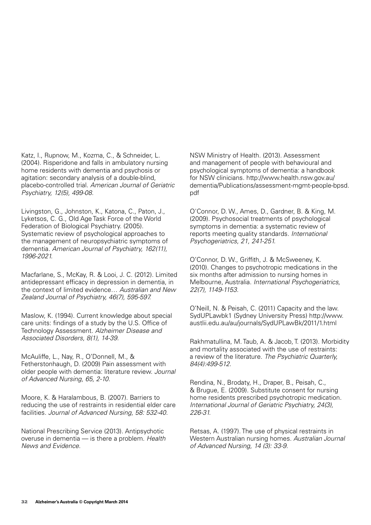Katz, I., Rupnow, M., Kozma, C., & Schneider, L. (2004). Risperidone and falls in ambulatory nursing home residents with dementia and psychosis or agitation: secondary analysis of a double-blind, placebo-controlled trial. *American Journal of Geriatric*  Psychiatry, 12(5), 499-08.

Livingston, G., Johnston, K., Katona, C., Paton, J., Lyketsos, C. G., Old Age Task Force of the World Federation of Biological Psychiatry. (2005). Systematic review of psychological approaches to the management of neuropsychiatric symptoms of dementia. *American Journal of Psychiatry, 162(11),*  1996-2021.

Macfarlane, S., McKay, R. & Looi, J. C. (2012). Limited antidepressant efficacy in depression in dementia, in the context of limited evidence… *Australian and New*  Zealand Journal of Psychiatry, 46(7), 595-597.

Maslow, K. (1994). Current knowledge about special care units: findings of a study by the U.S. Office of Technology Assessment. *Alzheimer Disease and*  Associated Disorders, 8(1), 14-39.

McAuliffe, L., Nay, R., O'Donnell, M., & Fetherstonhaugh, D. (2009) Pain assessment with older people with dementia: literature review. *Journal*  of Advanced Nursing, 65, 2-10.

Moore, K. & Haralambous, B. (2007). Barriers to reducing the use of restraints in residential elder care facilities. Journal of Advanced Nursing, 58: 532-40.

National Prescribing Service (2013). Antipsychotic overuse in dementia — is there a problem. *Health News and Evidence*.

NSW Ministry of Health. (2013). Assessment and management of people with behavioural and psychological symptoms of dementia: a handbook for NSW clinicians. http://www.health.nsw.gov.au/ dementia/Publications/assessment-mgmt-people-bpsd. pdf

O'Connor, D. W., Ames, D., Gardner, B. & King, M. (2009). Psychosocial treatments of psychological symptoms in dementia: a systematic review of reports meeting quality standards. *International*  Psychogeriatrics, 21, 241-251.

O'Connor, D. W., Griffith, J. & McSweeney, K. (2010). Changes to psychotropic medications in the six months after admission to nursing homes in Melbourne, Australia. *International Psychogeriatrics,*  22(7), 1149-1153.

O'Neill, N. & Peisah, C. (2011) Capacity and the law. SydUPLawbk1 (Sydney University Press) http://www. austlii.edu.au/au/journals/SydUPLawBk/2011/1.html

Rakhmatullina, M. Taub, A. & Jacob, T. (2013). Morbidity and mortality associated with the use of restraints: a review of the literature. *The Psychiatric Quarterly,*  84(4):499-512.

Rendina, N., Brodaty, H., Draper, B., Peisah, C., & Brugue, E. (2009). Substitute consent for nursing home residents prescribed psychotropic medication. International Journal of Geriatric Psychiatry, 24(3), *226-31.*

Retsas, A. (1997). The use of physical restraints in Western Australian nursing homes. *Australian Journal*  of Advanced Nursing, 14 (3): 33-9.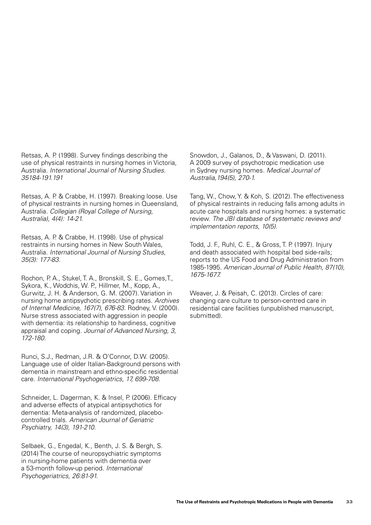Retsas, A. P. (1998). Survey findings describing the use of physical restraints in nursing homes in Victoria, Australia. *International Journal of Nursing Studies.*  35184-191.191

Retsas, A. P. & Crabbe, H. (1997). Breaking loose. Use of physical restraints in nursing homes in Queensland, Australia. *Collegian (Royal College of Nursing,*  Australia), 4(4): 14-21.

Retsas, A. P. & Crabbe, H. (1998). Use of physical restraints in nursing homes in New South Wales, Australia. *International Journal of Nursing Studies,*  35(3): 177-83.

Rochon, P. A., Stukel, T. A., Bronskill, S. E., Gomes,T., Sykora, K., Wodchis, W. P., Hillmer, M., Kopp, A., Gurwitz, J. H. & Anderson, G. M. (2007). Variation in nursing home antipsychotic prescribing rates. *Archives*  of Internal Medicine, 167(7), 676-83. Rodney, V. (2000). Nurse stress associated with aggression in people with dementia: its relationship to hardiness, cognitive appraisal and coping. *Journal of Advanced Nursing, 3,*  172-180.

Runci, S.J., Redman, J.R. & O'Connor, D.W. (2005). Language use of older Italian-Background persons with dementia in mainstream and ethno-specific residential care. International Psychogeriatrics, 17, 699-708.

Schneider, L. Dagerman, K. & Insel, P. (2006). Efficacy and adverse effects of atypical antipsychotics for dementia: Meta-analysis of randomized, placebocontrolled trials. *American Journal of Geriatric*  Psychiatry, 14(3), 191-210.

Selbaek, G., Engedal, K., Benth, J. S. & Bergh, S. (2014) The course of neuropsychiatric symptoms in nursing-home patients with dementia over a 53-month follow-up period. *International*  Psychogeriatrics, 26:81-91.

Snowdon, J., Galanos, D., & Vaswani, D. (2011). A 2009 survey of psychotropic medication use in Sydney nursing homes. *Medical Journal of*  Australia,194(5), 270-1.

Tang, W., Chow, Y. & Koh, S. (2012). The effectiveness of physical restraints in reducing falls among adults in acute care hospitals and nursing homes: a systematic review. *The JBI database of systematic reviews and*  implementation reports, 10(5).

Todd, J. F., Ruhl, C. E., & Gross, T. P. (1997). Injury and death associated with hospital bed side-rails; reports to the US Food and Drug Administration from 1985-1995. American Journal of Public Health, 87(10), 1675-1677.

Weaver, J. & Peisah, C. (2013). Circles of care: changing care culture to person-centred care in residential care facilities (unpublished manuscript, submitted).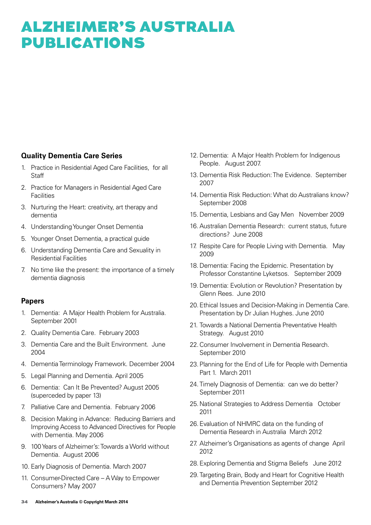### Alzheimer's Australia **PUBLICATIONS**

#### **Quality Dementia Care Series**

- 1. Practice in Residential Aged Care Facilities, for all **Staff**
- 2. Practice for Managers in Residential Aged Care **Facilities**
- 3. Nurturing the Heart: creativity, art therapy and dementia
- 4. Understanding Younger Onset Dementia
- 5. Younger Onset Dementia, a practical guide
- 6. Understanding Dementia Care and Sexuality in Residential Facilities
- 7. No time like the present: the importance of a timely dementia diagnosis

#### **Papers**

- 1. Dementia: A Major Health Problem for Australia. September 2001
- 2. Quality Dementia Care. February 2003
- 3. Dementia Care and the Built Environment. June 2004
- 4. Dementia Terminology Framework. December 2004
- 5. Legal Planning and Dementia. April 2005
- 6. Dementia: Can It Be Prevented? August 2005 (superceded by paper 13)
- 7. Palliative Care and Dementia. February 2006
- 8. Decision Making in Advance: Reducing Barriers and Improving Access to Advanced Directives for People with Dementia. May 2006
- 9. 100 Years of Alzheimer's: Towards a World without Dementia. August 2006
- 10. Early Diagnosis of Dementia. March 2007
- 11. Consumer-Directed Care A Way to Empower Consumers? May 2007
- 12. Dementia: A Major Health Problem for Indigenous People. August 2007.
- 13. Dementia Risk Reduction: The Evidence. September 2007
- 14. Dementia Risk Reduction: What do Australians know? September 2008
- 15. Dementia, Lesbians and Gay Men November 2009
- 16. Australian Dementia Research: current status, future directions? June 2008
- 17. Respite Care for People Living with Dementia. May 2009
- 18. Dementia: Facing the Epidemic. Presentation by Professor Constantine Lyketsos. September 2009
- 19. Dementia: Evolution or Revolution? Presentation by Glenn Rees. June 2010
- 20.Ethical Issues and Decision-Making in Dementia Care. Presentation by Dr Julian Hughes. June 2010
- 21. Towards a National Dementia Preventative Health Strategy. August 2010
- 22.Consumer Involvement in Dementia Research. September 2010
- 23.Planning for the End of Life for People with Dementia Part 1. March 2011
- 24.Timely Diagnosis of Dementia: can we do better? September 2011
- 25.National Strategies to Address Dementia October 2011
- 26.Evaluation of NHMRC data on the funding of Dementia Research in Australia March 2012
- 27. Alzheimer's Organisations as agents of change April 2012
- 28.Exploring Dementia and Stigma Beliefs June 2012
- 29.Targeting Brain, Body and Heart for Cognitive Health and Dementia Prevention September 2012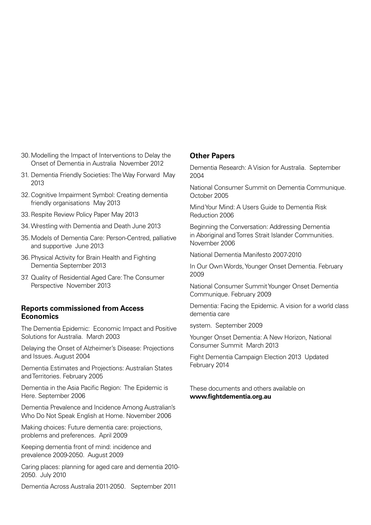- 30.Modelling the Impact of Interventions to Delay the Onset of Dementia in Australia November 2012
- 31. Dementia Friendly Societies: The Way Forward May 2013
- 32.Cognitive Impairment Symbol: Creating dementia friendly organisations May 2013
- 33.Respite Review Policy Paper May 2013
- 34.Wrestling with Dementia and Death June 2013
- 35.Models of Dementia Care: Person-Centred, palliative and supportive June 2013
- 36.Physical Activity for Brain Health and Fighting Dementia September 2013
- 37. Quality of Residential Aged Care: The Consumer Perspective November 2013

#### **Reports commissioned from Access Economics**

The Dementia Epidemic: Economic Impact and Positive Solutions for Australia. March 2003

Delaying the Onset of Alzheimer's Disease: Projections and Issues. August 2004

Dementia Estimates and Projections: Australian States and Territories. February 2005

Dementia in the Asia Pacific Region: The Epidemic is Here. September 2006

Dementia Prevalence and Incidence Among Australian's Who Do Not Speak English at Home. November 2006

Making choices: Future dementia care: projections, problems and preferences. April 2009

Keeping dementia front of mind: incidence and prevalence 2009-2050. August 2009

Caring places: planning for aged care and dementia 2010- 2050. July 2010

Dementia Across Australia 2011-2050. September 2011

#### **Other Papers**

Dementia Research: A Vision for Australia. September 2004

National Consumer Summit on Dementia Communique. October 2005

Mind Your Mind: A Users Guide to Dementia Risk Reduction 2006

Beginning the Conversation: Addressing Dementia in Aboriginal and Torres Strait Islander Communities. November 2006

National Dementia Manifesto 2007-2010

In Our Own Words, Younger Onset Dementia. February 2009

National Consumer Summit Younger Onset Dementia Communique. February 2009

Dementia: Facing the Epidemic. A vision for a world class dementia care

system. September 2009

Younger Onset Dementia: A New Horizon, National Consumer Summit March 2013

Fight Dementia Campaign Election 2013 Updated February 2014

These documents and others available on **www.fightdementia.org.au**